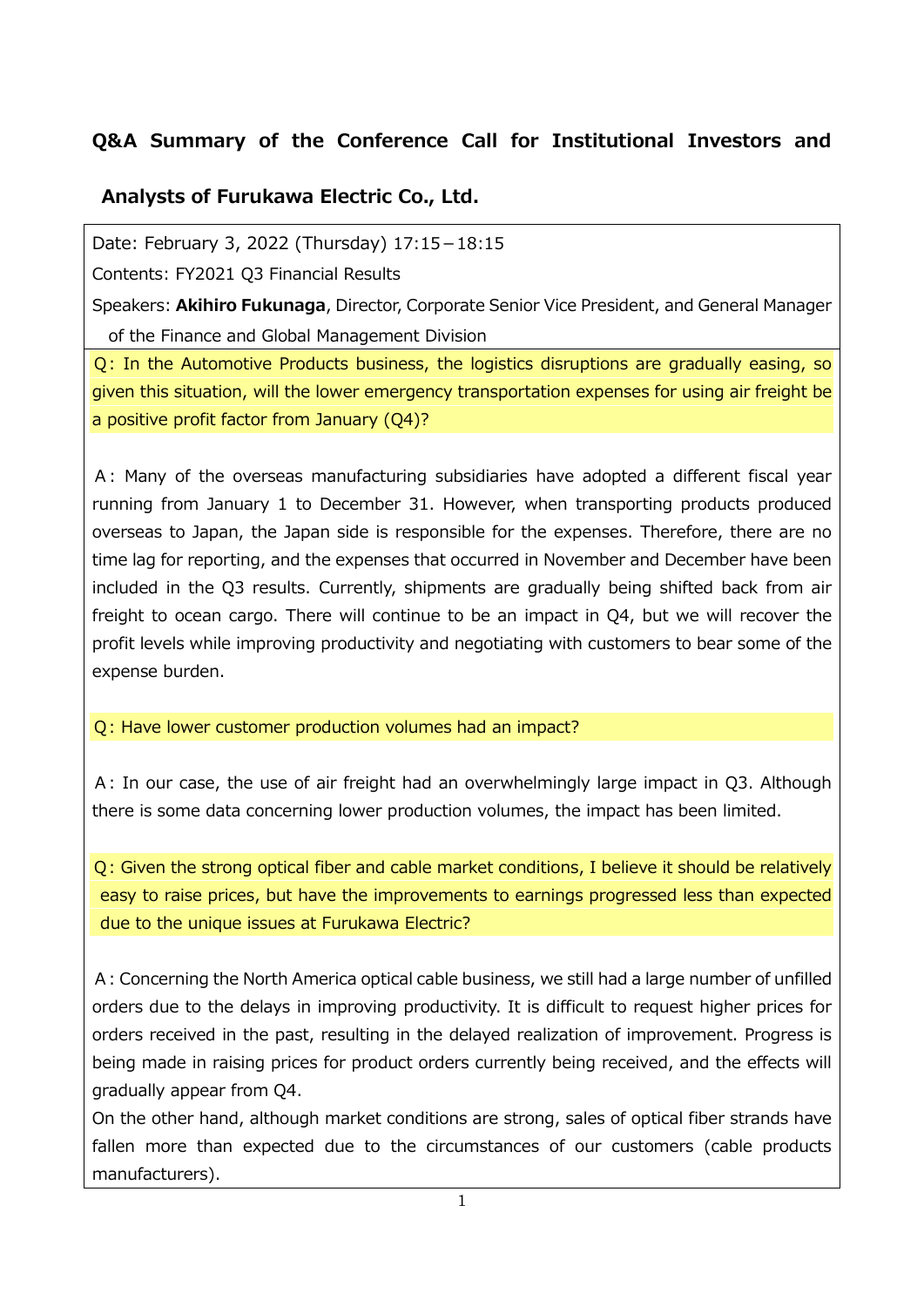## **Q&A Summary of the Conference Call for Institutional Investors and**

## **Analysts of Furukawa Electric Co., Ltd.**

Date: February 3, 2022 (Thursday) 17:15-18:15

Contents: FY2021 Q3 Financial Results

Speakers: **Akihiro Fukunaga**, Director, Corporate Senior Vice President, and General Manager of the Finance and Global Management Division

Q: In the Automotive Products business, the logistics disruptions are gradually easing, so given this situation, will the lower emergency transportation expenses for using air freight be a positive profit factor from January (Q4)?

A: Many of the overseas manufacturing subsidiaries have adopted a different fiscal year running from January 1 to December 31. However, when transporting products produced overseas to Japan, the Japan side is responsible for the expenses. Therefore, there are no time lag for reporting, and the expenses that occurred in November and December have been included in the Q3 results. Currently, shipments are gradually being shifted back from air freight to ocean cargo. There will continue to be an impact in Q4, but we will recover the profit levels while improving productivity and negotiating with customers to bear some of the expense burden.

Q: Have lower customer production volumes had an impact?

A: In our case, the use of air freight had an overwhelmingly large impact in Q3. Although there is some data concerning lower production volumes, the impact has been limited.

Q: Given the strong optical fiber and cable market conditions, I believe it should be relatively easy to raise prices, but have the improvements to earnings progressed less than expected due to the unique issues at Furukawa Electric?

A: Concerning the North America optical cable business, we still had a large number of unfilled orders due to the delays in improving productivity. It is difficult to request higher prices for orders received in the past, resulting in the delayed realization of improvement. Progress is being made in raising prices for product orders currently being received, and the effects will gradually appear from Q4.

On the other hand, although market conditions are strong, sales of optical fiber strands have fallen more than expected due to the circumstances of our customers (cable products manufacturers).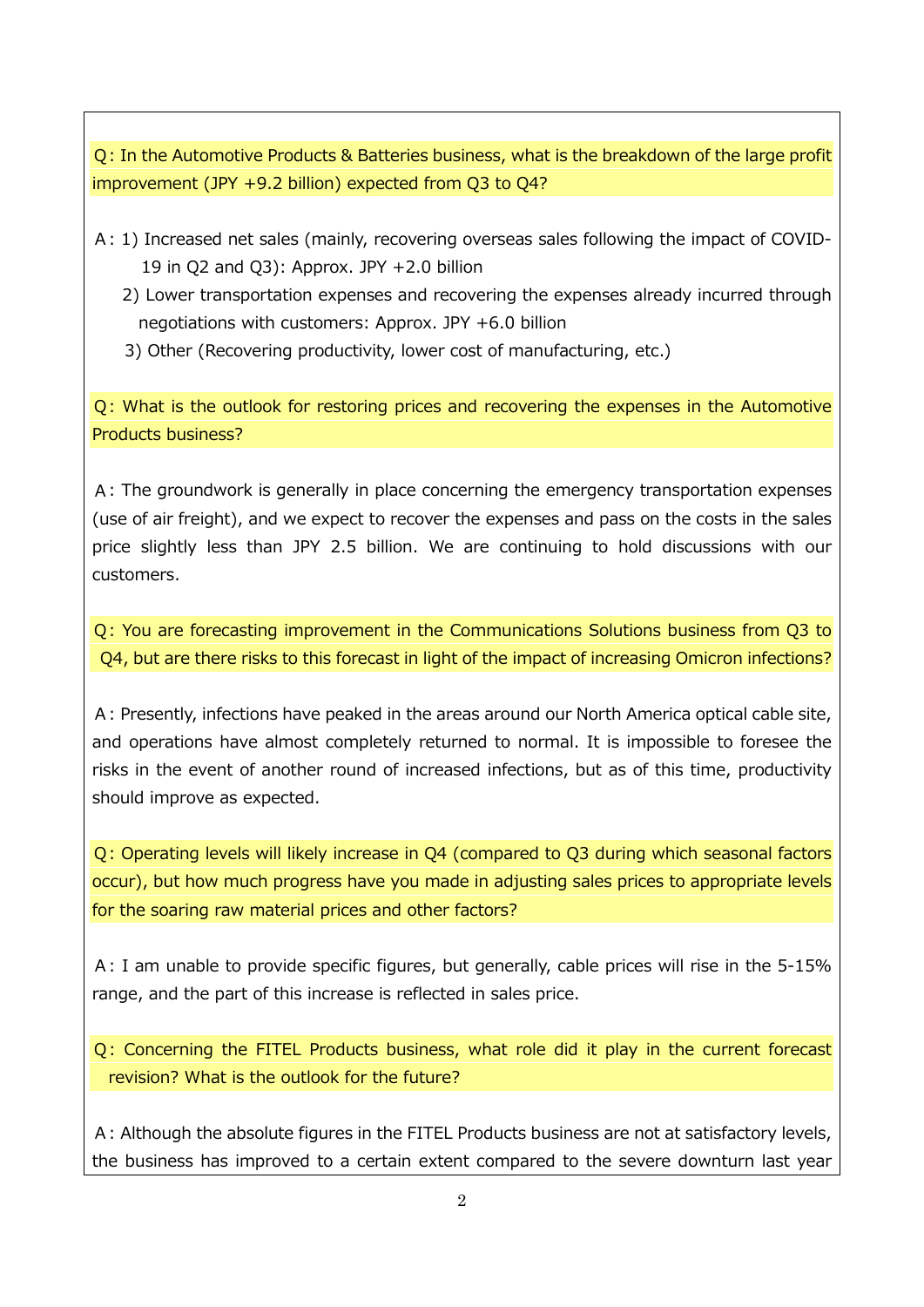Q: In the Automotive Products & Batteries business, what is the breakdown of the large profit improvement (JPY +9.2 billion) expected from Q3 to Q4?

- A: 1) Increased net sales (mainly, recovering overseas sales following the impact of COVID-19 in Q2 and Q3): Approx. JPY +2.0 billion
	- 2) Lower transportation expenses and recovering the expenses already incurred through negotiations with customers: Approx. JPY +6.0 billion
	- 3) Other (Recovering productivity, lower cost of manufacturing, etc.)

Q: What is the outlook for restoring prices and recovering the expenses in the Automotive Products business?

A: The groundwork is generally in place concerning the emergency transportation expenses (use of air freight), and we expect to recover the expenses and pass on the costs in the sales price slightly less than JPY 2.5 billion. We are continuing to hold discussions with our customers.

Q: You are forecasting improvement in the Communications Solutions business from Q3 to Q4, but are there risks to this forecast in light of the impact of increasing Omicron infections?

A: Presently, infections have peaked in the areas around our North America optical cable site, and operations have almost completely returned to normal. It is impossible to foresee the risks in the event of another round of increased infections, but as of this time, productivity should improve as expected.

Q: Operating levels will likely increase in Q4 (compared to Q3 during which seasonal factors occur), but how much progress have you made in adjusting sales prices to appropriate levels for the soaring raw material prices and other factors?

A: I am unable to provide specific figures, but generally, cable prices will rise in the 5-15% range, and the part of this increase is reflected in sales price.

Q: Concerning the FITEL Products business, what role did it play in the current forecast revision? What is the outlook for the future?

A: Although the absolute figures in the FITEL Products business are not at satisfactory levels, the business has improved to a certain extent compared to the severe downturn last year